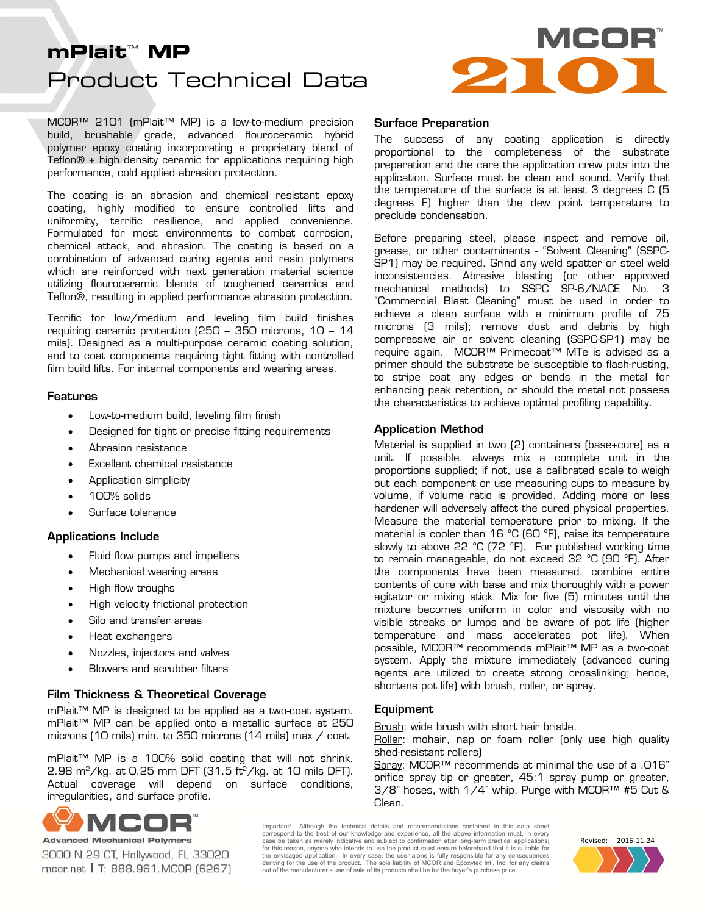# Product Technical Data **INCOR**™<br>Product Technical Data

MCOR™ 2101 (mPlait™ MP) is a low-to-medium precision build, brushable grade, advanced flouroceramic hybrid polymer epoxy coating incorporating a proprietary blend of Teflon® + high density ceramic for applications requiring high performance, cold applied abrasion protection.

The coating is an abrasion and chemical resistant epoxy coating, highly modified to ensure controlled lifts and uniformity, terrific resilience, and applied convenience. Formulated for most environments to combat corrosion, chemical attack, and abrasion. The coating is based on a combination of advanced curing agents and resin polymers which are reinforced with next generation material science utilizing flouroceramic blends of toughened ceramics and Teflon®, resulting in applied performance abrasion protection.

Terrific for low/medium and leveling film build finishes requiring ceramic protection (250 – 350 microns, 10 – 14 mils). Designed as a multi-purpose ceramic coating solution, and to coat components requiring tight fitting with controlled film build lifts. For internal components and wearing areas.

#### Features

- Low-to-medium build, leveling film finish
- **•** Designed for tight or precise fitting requirements
- Abrasion resistance
- Excellent chemical resistance
- **•** Application simplicity
- 100% solids
- Surface tolerance

#### Applications Include

- Fluid flow pumps and impellers
- Mechanical wearing areas
- High flow troughs
- High velocity frictional protection
- Silo and transfer areas
- Heat exchangers
- Nozzles, injectors and valves
- Blowers and scrubber filters

#### Film Thickness & Theoretical Coverage

mPlait<sup>™</sup> MP is designed to be applied as a two-coat system. mPlait™ MP can be applied onto a metallic surface at 250 microns (10 mils) min. to 350 microns (14 mils) max / coat.

mPlait™ MP is a 100% solid coating that will not shrink.  $2.98$  m<sup>2</sup>/kg. at 0.25 mm DFT (31.5 ft<sup>2</sup>/kg. at 10 mils DFT). Actual coverage will depend on surface conditions, irregularities, and surface profile.



3000 N 29 CT, Hollywood, FL 33020 mcor.net | T: 888.961.MCOR (6267)

## Surface Preparation

The success of any coating application is directly proportional to the completeness of the substrate preparation and the care the application crew puts into the application. Surface must be clean and sound. Verify that the temperature of the surface is at least 3 degrees C (5 degrees F) higher than the dew point temperature to preclude condensation.

Before preparing steel, please inspect and remove oil, grease, or other contaminants - "Solvent Cleaning" (SSPC-SP1) may be required. Grind any weld spatter or steel weld inconsistencies. Abrasive blasting (or other approved mechanical methods) to SSPC SP-6/NACE No. 3 "Commercial Blast Cleaning" must be used in order to achieve a clean surface with a minimum profile of 75 microns (3 mils); remove dust and debris by high compressive air or solvent cleaning (SSPC-SP1) may be require again. MCOR™ Primecoat™ MTe is advised as a primer should the substrate be susceptible to flash-rusting, to stripe coat any edges or bends in the metal for enhancing peak retention, or should the metal not possess the characteristics to achieve optimal profiling capability.

## Application Method

Material is supplied in two (2) containers (base+cure) as a unit. If possible, always mix a complete unit in the proportions supplied; if not, use a calibrated scale to weigh out each component or use measuring cups to measure by volume, if volume ratio is provided. Adding more or less hardener will adversely affect the cured physical properties. Measure the material temperature prior to mixing. If the material is cooler than 16 °C (60 °F), raise its temperature slowly to above 22 °C (72 °F). For published working time to remain manageable, do not exceed 32 °C (90 °F). After the components have been measured, combine entire contents of cure with base and mix thoroughly with a power agitator or mixing stick. Mix for five (5) minutes until the mixture becomes uniform in color and viscosity with no visible streaks or lumps and be aware of pot life (higher temperature and mass accelerates pot life). When possible, MCOR™ recommends mPlait™ MP as a two-coat system. Apply the mixture immediately (advanced curing agents are utilized to create strong crosslinking; hence, shortens pot life) with brush, roller, or spray.

#### **Equipment**

Brush: wide brush with short hair bristle.

Roller: mohair, nap or foam roller (only use high quality shed-resistant rollers)

Spray: MCOR™ recommends at minimal the use of a .016" orifice spray tip or greater, 45:1 spray pump or greater, 3/8" hoses, with 1/4" whip. Purge with MCOR™ #5 Cut & Clean.

Important! Although the technical details and recommendations contained in this data sheet correspond to the best of our knowledge and experience, all the above information must, in every case be taken as merely indicative and subject to confirmation after long-term practical applications; for this reason, anyone who intends to use the product must ensure beforehand that it is suitable for the envisaged application. In every case, the user alone is fully responsible for any consequences<br>deriving for the use of the product. The sole liability of MCOR and Epoxytec Intl, Inc. for any claims<br>out of the manufac